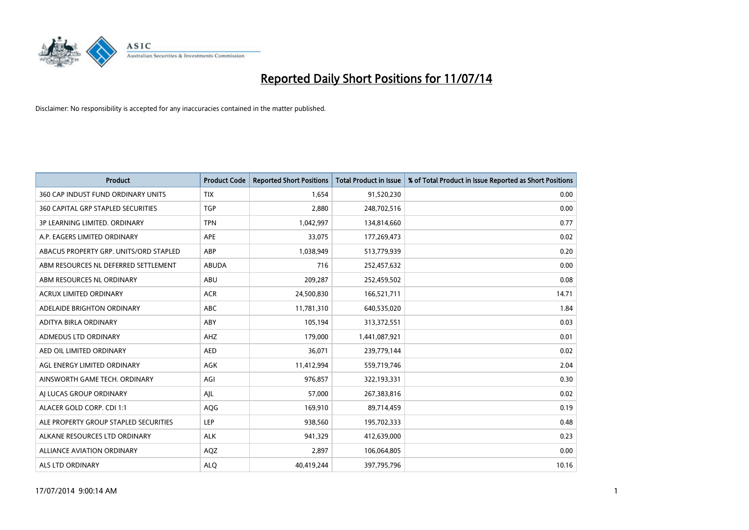

| <b>Product</b>                         | <b>Product Code</b> | <b>Reported Short Positions</b> | <b>Total Product in Issue</b> | % of Total Product in Issue Reported as Short Positions |
|----------------------------------------|---------------------|---------------------------------|-------------------------------|---------------------------------------------------------|
| 360 CAP INDUST FUND ORDINARY UNITS     | <b>TIX</b>          | 1,654                           | 91,520,230                    | 0.00                                                    |
| 360 CAPITAL GRP STAPLED SECURITIES     | <b>TGP</b>          | 2,880                           | 248,702,516                   | 0.00                                                    |
| 3P LEARNING LIMITED. ORDINARY          | <b>TPN</b>          | 1,042,997                       | 134,814,660                   | 0.77                                                    |
| A.P. EAGERS LIMITED ORDINARY           | APE                 | 33,075                          | 177,269,473                   | 0.02                                                    |
| ABACUS PROPERTY GRP. UNITS/ORD STAPLED | ABP                 | 1,038,949                       | 513,779,939                   | 0.20                                                    |
| ABM RESOURCES NL DEFERRED SETTLEMENT   | <b>ABUDA</b>        | 716                             | 252,457,632                   | 0.00                                                    |
| ABM RESOURCES NL ORDINARY              | ABU                 | 209,287                         | 252,459,502                   | 0.08                                                    |
| ACRUX LIMITED ORDINARY                 | <b>ACR</b>          | 24,500,830                      | 166,521,711                   | 14.71                                                   |
| ADELAIDE BRIGHTON ORDINARY             | <b>ABC</b>          | 11,781,310                      | 640,535,020                   | 1.84                                                    |
| ADITYA BIRLA ORDINARY                  | ABY                 | 105,194                         | 313,372,551                   | 0.03                                                    |
| ADMEDUS LTD ORDINARY                   | AHZ                 | 179,000                         | 1,441,087,921                 | 0.01                                                    |
| AED OIL LIMITED ORDINARY               | <b>AED</b>          | 36,071                          | 239,779,144                   | 0.02                                                    |
| AGL ENERGY LIMITED ORDINARY            | AGK                 | 11,412,994                      | 559,719,746                   | 2.04                                                    |
| AINSWORTH GAME TECH. ORDINARY          | AGI                 | 976,857                         | 322,193,331                   | 0.30                                                    |
| AI LUCAS GROUP ORDINARY                | AJL                 | 57,000                          | 267,383,816                   | 0.02                                                    |
| ALACER GOLD CORP. CDI 1:1              | AQG                 | 169,910                         | 89,714,459                    | 0.19                                                    |
| ALE PROPERTY GROUP STAPLED SECURITIES  | LEP                 | 938,560                         | 195,702,333                   | 0.48                                                    |
| ALKANE RESOURCES LTD ORDINARY          | <b>ALK</b>          | 941,329                         | 412,639,000                   | 0.23                                                    |
| <b>ALLIANCE AVIATION ORDINARY</b>      | AQZ                 | 2,897                           | 106,064,805                   | 0.00                                                    |
| ALS LTD ORDINARY                       | <b>ALO</b>          | 40,419,244                      | 397,795,796                   | 10.16                                                   |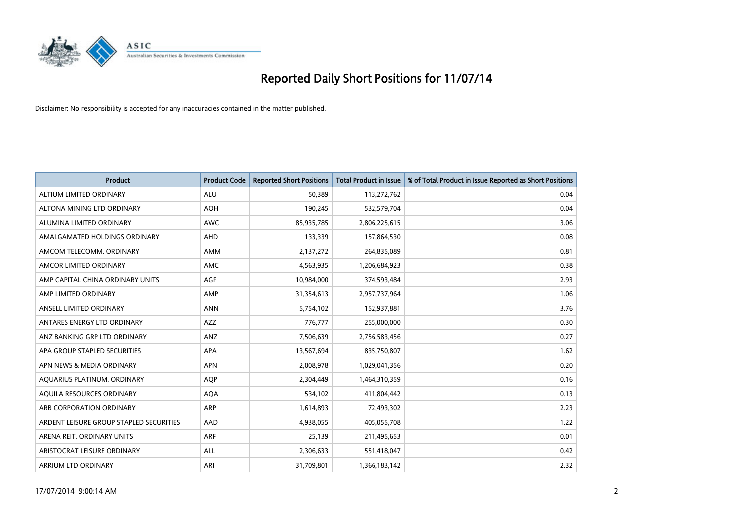

| <b>Product</b>                          | <b>Product Code</b> | <b>Reported Short Positions</b> | <b>Total Product in Issue</b> | % of Total Product in Issue Reported as Short Positions |
|-----------------------------------------|---------------------|---------------------------------|-------------------------------|---------------------------------------------------------|
| ALTIUM LIMITED ORDINARY                 | <b>ALU</b>          | 50,389                          | 113,272,762                   | 0.04                                                    |
| ALTONA MINING LTD ORDINARY              | <b>AOH</b>          | 190,245                         | 532,579,704                   | 0.04                                                    |
| ALUMINA LIMITED ORDINARY                | <b>AWC</b>          | 85,935,785                      | 2,806,225,615                 | 3.06                                                    |
| AMALGAMATED HOLDINGS ORDINARY           | <b>AHD</b>          | 133,339                         | 157,864,530                   | 0.08                                                    |
| AMCOM TELECOMM, ORDINARY                | <b>AMM</b>          | 2,137,272                       | 264,835,089                   | 0.81                                                    |
| AMCOR LIMITED ORDINARY                  | AMC                 | 4,563,935                       | 1,206,684,923                 | 0.38                                                    |
| AMP CAPITAL CHINA ORDINARY UNITS        | AGF                 | 10,984,000                      | 374,593,484                   | 2.93                                                    |
| AMP LIMITED ORDINARY                    | AMP                 | 31,354,613                      | 2,957,737,964                 | 1.06                                                    |
|                                         |                     |                                 |                               |                                                         |
| ANSELL LIMITED ORDINARY                 | <b>ANN</b>          | 5,754,102                       | 152,937,881                   | 3.76                                                    |
| ANTARES ENERGY LTD ORDINARY             | <b>AZZ</b>          | 776,777                         | 255,000,000                   | 0.30                                                    |
| ANZ BANKING GRP LTD ORDINARY            | ANZ                 | 7,506,639                       | 2,756,583,456                 | 0.27                                                    |
| APA GROUP STAPLED SECURITIES            | APA                 | 13,567,694                      | 835,750,807                   | 1.62                                                    |
| APN NEWS & MEDIA ORDINARY               | <b>APN</b>          | 2,008,978                       | 1,029,041,356                 | 0.20                                                    |
| AQUARIUS PLATINUM. ORDINARY             | <b>AOP</b>          | 2,304,449                       | 1,464,310,359                 | 0.16                                                    |
| AQUILA RESOURCES ORDINARY               | <b>AQA</b>          | 534,102                         | 411,804,442                   | 0.13                                                    |
| ARB CORPORATION ORDINARY                | <b>ARP</b>          | 1,614,893                       | 72,493,302                    | 2.23                                                    |
| ARDENT LEISURE GROUP STAPLED SECURITIES | AAD                 | 4,938,055                       | 405,055,708                   | 1.22                                                    |
| ARENA REIT. ORDINARY UNITS              | ARF                 | 25,139                          | 211,495,653                   | 0.01                                                    |
| ARISTOCRAT LEISURE ORDINARY             | ALL                 | 2,306,633                       | 551,418,047                   | 0.42                                                    |
| ARRIUM LTD ORDINARY                     | ARI                 | 31,709,801                      | 1,366,183,142                 | 2.32                                                    |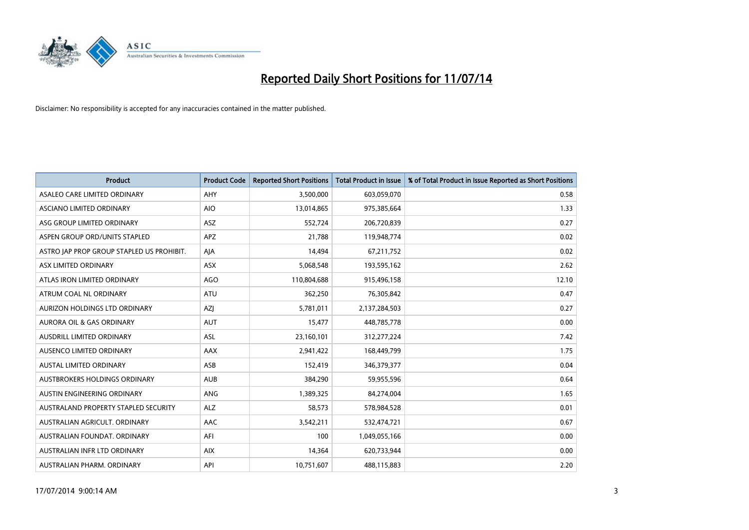

| <b>Product</b>                            | <b>Product Code</b> | <b>Reported Short Positions</b> | <b>Total Product in Issue</b> | % of Total Product in Issue Reported as Short Positions |
|-------------------------------------------|---------------------|---------------------------------|-------------------------------|---------------------------------------------------------|
| ASALEO CARE LIMITED ORDINARY              | AHY                 | 3,500,000                       | 603,059,070                   | 0.58                                                    |
| ASCIANO LIMITED ORDINARY                  | <b>AIO</b>          | 13,014,865                      | 975,385,664                   | 1.33                                                    |
| ASG GROUP LIMITED ORDINARY                | <b>ASZ</b>          | 552,724                         | 206,720,839                   | 0.27                                                    |
| ASPEN GROUP ORD/UNITS STAPLED             | APZ                 | 21,788                          | 119,948,774                   | 0.02                                                    |
| ASTRO JAP PROP GROUP STAPLED US PROHIBIT. | AJA                 | 14,494                          | 67,211,752                    | 0.02                                                    |
| ASX LIMITED ORDINARY                      | ASX                 | 5,068,548                       | 193,595,162                   | 2.62                                                    |
| ATLAS IRON LIMITED ORDINARY               | <b>AGO</b>          | 110,804,688                     | 915,496,158                   | 12.10                                                   |
| ATRUM COAL NL ORDINARY                    | ATU                 | 362,250                         | 76,305,842                    | 0.47                                                    |
| AURIZON HOLDINGS LTD ORDINARY             | AZJ                 | 5,781,011                       | 2,137,284,503                 | 0.27                                                    |
| <b>AURORA OIL &amp; GAS ORDINARY</b>      | <b>AUT</b>          | 15,477                          | 448,785,778                   | 0.00                                                    |
| AUSDRILL LIMITED ORDINARY                 | ASL                 | 23,160,101                      | 312,277,224                   | 7.42                                                    |
| AUSENCO LIMITED ORDINARY                  | AAX                 | 2,941,422                       | 168,449,799                   | 1.75                                                    |
| AUSTAL LIMITED ORDINARY                   | ASB                 | 152,419                         | 346,379,377                   | 0.04                                                    |
| AUSTBROKERS HOLDINGS ORDINARY             | <b>AUB</b>          | 384,290                         | 59,955,596                    | 0.64                                                    |
| AUSTIN ENGINEERING ORDINARY               | ANG                 | 1,389,325                       | 84,274,004                    | 1.65                                                    |
| AUSTRALAND PROPERTY STAPLED SECURITY      | <b>ALZ</b>          | 58,573                          | 578,984,528                   | 0.01                                                    |
| AUSTRALIAN AGRICULT. ORDINARY             | AAC                 | 3,542,211                       | 532,474,721                   | 0.67                                                    |
| AUSTRALIAN FOUNDAT. ORDINARY              | AFI                 | 100                             | 1,049,055,166                 | 0.00                                                    |
| AUSTRALIAN INFR LTD ORDINARY              | <b>AIX</b>          | 14,364                          | 620,733,944                   | 0.00                                                    |
| AUSTRALIAN PHARM. ORDINARY                | API                 | 10,751,607                      | 488,115,883                   | 2.20                                                    |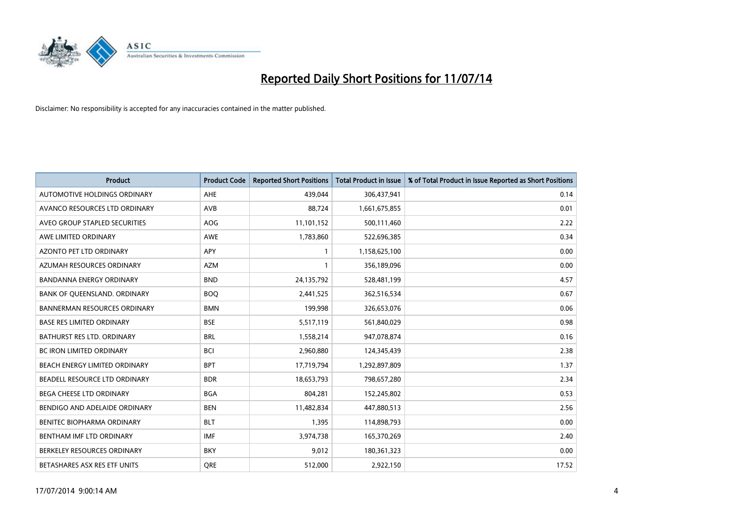

| <b>Product</b>                       | <b>Product Code</b> | <b>Reported Short Positions</b> | <b>Total Product in Issue</b> | % of Total Product in Issue Reported as Short Positions |
|--------------------------------------|---------------------|---------------------------------|-------------------------------|---------------------------------------------------------|
| AUTOMOTIVE HOLDINGS ORDINARY         | AHE                 | 439,044                         | 306,437,941                   | 0.14                                                    |
| AVANCO RESOURCES LTD ORDINARY        | AVB                 | 88,724                          | 1,661,675,855                 | 0.01                                                    |
| AVEO GROUP STAPLED SECURITIES        | <b>AOG</b>          | 11,101,152                      | 500,111,460                   | 2.22                                                    |
| AWE LIMITED ORDINARY                 | <b>AWE</b>          | 1,783,860                       | 522,696,385                   | 0.34                                                    |
| <b>AZONTO PET LTD ORDINARY</b>       | APY                 | 1                               | 1,158,625,100                 | 0.00                                                    |
| AZUMAH RESOURCES ORDINARY            | <b>AZM</b>          | $\mathbf{1}$                    | 356,189,096                   | 0.00                                                    |
| <b>BANDANNA ENERGY ORDINARY</b>      | <b>BND</b>          | 24,135,792                      | 528,481,199                   | 4.57                                                    |
| BANK OF QUEENSLAND. ORDINARY         | <b>BOO</b>          | 2,441,525                       | 362,516,534                   | 0.67                                                    |
| <b>BANNERMAN RESOURCES ORDINARY</b>  | <b>BMN</b>          | 199,998                         | 326,653,076                   | 0.06                                                    |
| <b>BASE RES LIMITED ORDINARY</b>     | <b>BSE</b>          | 5,517,119                       | 561,840,029                   | 0.98                                                    |
| BATHURST RES LTD. ORDINARY           | <b>BRL</b>          | 1,558,214                       | 947,078,874                   | 0.16                                                    |
| <b>BC IRON LIMITED ORDINARY</b>      | <b>BCI</b>          | 2,960,880                       | 124,345,439                   | 2.38                                                    |
| BEACH ENERGY LIMITED ORDINARY        | <b>BPT</b>          | 17,719,794                      | 1,292,897,809                 | 1.37                                                    |
| <b>BEADELL RESOURCE LTD ORDINARY</b> | <b>BDR</b>          | 18,653,793                      | 798,657,280                   | 2.34                                                    |
| <b>BEGA CHEESE LTD ORDINARY</b>      | <b>BGA</b>          | 804,281                         | 152,245,802                   | 0.53                                                    |
| BENDIGO AND ADELAIDE ORDINARY        | <b>BEN</b>          | 11,482,834                      | 447,880,513                   | 2.56                                                    |
| BENITEC BIOPHARMA ORDINARY           | <b>BLT</b>          | 1,395                           | 114,898,793                   | 0.00                                                    |
| BENTHAM IMF LTD ORDINARY             | <b>IMF</b>          | 3,974,738                       | 165,370,269                   | 2.40                                                    |
| BERKELEY RESOURCES ORDINARY          | <b>BKY</b>          | 9,012                           | 180,361,323                   | 0.00                                                    |
| BETASHARES ASX RES ETF UNITS         | <b>ORE</b>          | 512,000                         | 2,922,150                     | 17.52                                                   |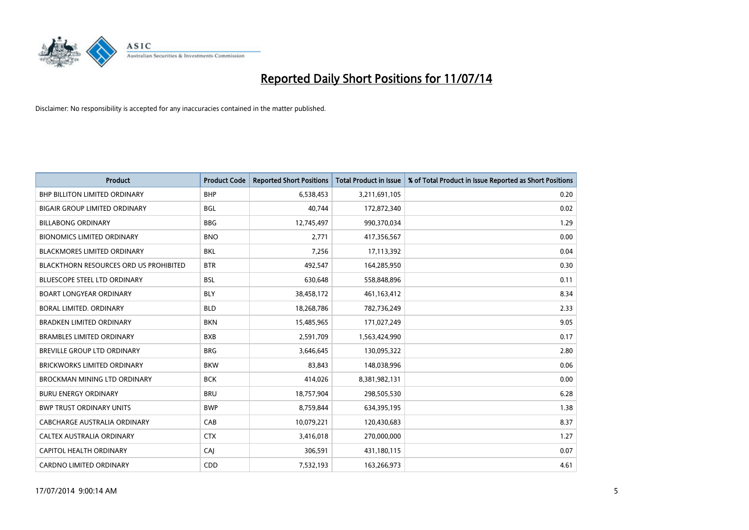

| <b>Product</b>                                | <b>Product Code</b> | <b>Reported Short Positions</b> | <b>Total Product in Issue</b> | % of Total Product in Issue Reported as Short Positions |
|-----------------------------------------------|---------------------|---------------------------------|-------------------------------|---------------------------------------------------------|
| <b>BHP BILLITON LIMITED ORDINARY</b>          | <b>BHP</b>          | 6,538,453                       | 3,211,691,105                 | 0.20                                                    |
| <b>BIGAIR GROUP LIMITED ORDINARY</b>          | <b>BGL</b>          | 40,744                          | 172,872,340                   | 0.02                                                    |
| <b>BILLABONG ORDINARY</b>                     | <b>BBG</b>          | 12,745,497                      | 990,370,034                   | 1.29                                                    |
| <b>BIONOMICS LIMITED ORDINARY</b>             | <b>BNO</b>          | 2,771                           | 417,356,567                   | 0.00                                                    |
| <b>BLACKMORES LIMITED ORDINARY</b>            | <b>BKL</b>          | 7,256                           | 17,113,392                    | 0.04                                                    |
| <b>BLACKTHORN RESOURCES ORD US PROHIBITED</b> | <b>BTR</b>          | 492,547                         | 164,285,950                   | 0.30                                                    |
| <b>BLUESCOPE STEEL LTD ORDINARY</b>           | <b>BSL</b>          | 630,648                         | 558,848,896                   | 0.11                                                    |
| <b>BOART LONGYEAR ORDINARY</b>                | <b>BLY</b>          | 38,458,172                      | 461,163,412                   | 8.34                                                    |
| BORAL LIMITED. ORDINARY                       | <b>BLD</b>          | 18,268,786                      | 782,736,249                   | 2.33                                                    |
| <b>BRADKEN LIMITED ORDINARY</b>               | <b>BKN</b>          | 15,485,965                      | 171,027,249                   | 9.05                                                    |
| <b>BRAMBLES LIMITED ORDINARY</b>              | <b>BXB</b>          | 2,591,709                       | 1,563,424,990                 | 0.17                                                    |
| BREVILLE GROUP LTD ORDINARY                   | <b>BRG</b>          | 3,646,645                       | 130,095,322                   | 2.80                                                    |
| <b>BRICKWORKS LIMITED ORDINARY</b>            | <b>BKW</b>          | 83,843                          | 148,038,996                   | 0.06                                                    |
| <b>BROCKMAN MINING LTD ORDINARY</b>           | <b>BCK</b>          | 414,026                         | 8,381,982,131                 | 0.00                                                    |
| <b>BURU ENERGY ORDINARY</b>                   | <b>BRU</b>          | 18,757,904                      | 298,505,530                   | 6.28                                                    |
| <b>BWP TRUST ORDINARY UNITS</b>               | <b>BWP</b>          | 8,759,844                       | 634,395,195                   | 1.38                                                    |
| <b>CABCHARGE AUSTRALIA ORDINARY</b>           | CAB                 | 10,079,221                      | 120,430,683                   | 8.37                                                    |
| CALTEX AUSTRALIA ORDINARY                     | <b>CTX</b>          | 3,416,018                       | 270,000,000                   | 1.27                                                    |
| <b>CAPITOL HEALTH ORDINARY</b>                | CAJ                 | 306,591                         | 431,180,115                   | 0.07                                                    |
| <b>CARDNO LIMITED ORDINARY</b>                | CDD                 | 7,532,193                       | 163,266,973                   | 4.61                                                    |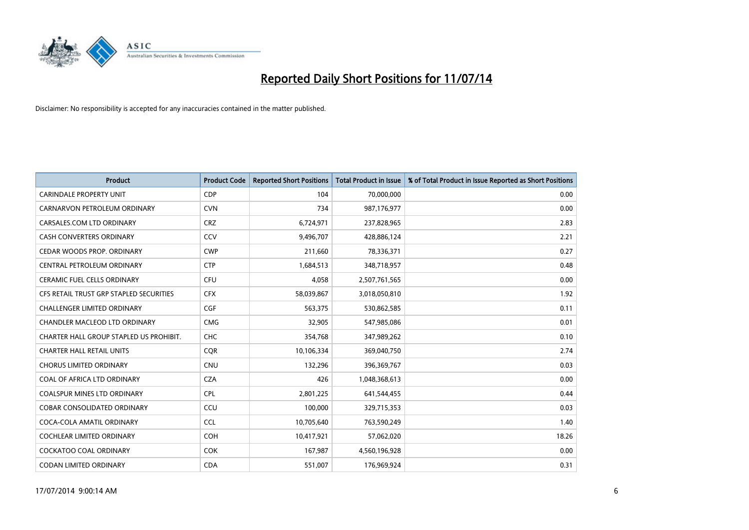

| <b>Product</b>                          | <b>Product Code</b> | <b>Reported Short Positions</b> | <b>Total Product in Issue</b> | % of Total Product in Issue Reported as Short Positions |
|-----------------------------------------|---------------------|---------------------------------|-------------------------------|---------------------------------------------------------|
| CARINDALE PROPERTY UNIT                 | <b>CDP</b>          | 104                             | 70,000,000                    | 0.00                                                    |
| CARNARVON PETROLEUM ORDINARY            | <b>CVN</b>          | 734                             | 987,176,977                   | 0.00                                                    |
| CARSALES.COM LTD ORDINARY               | <b>CRZ</b>          | 6,724,971                       | 237,828,965                   | 2.83                                                    |
| <b>CASH CONVERTERS ORDINARY</b>         | CCV                 | 9,496,707                       | 428,886,124                   | 2.21                                                    |
| CEDAR WOODS PROP. ORDINARY              | <b>CWP</b>          | 211,660                         | 78,336,371                    | 0.27                                                    |
| CENTRAL PETROLEUM ORDINARY              | <b>CTP</b>          | 1,684,513                       | 348,718,957                   | 0.48                                                    |
| <b>CERAMIC FUEL CELLS ORDINARY</b>      | <b>CFU</b>          | 4,058                           | 2,507,761,565                 | 0.00                                                    |
| CFS RETAIL TRUST GRP STAPLED SECURITIES | <b>CFX</b>          | 58,039,867                      | 3,018,050,810                 | 1.92                                                    |
| <b>CHALLENGER LIMITED ORDINARY</b>      | <b>CGF</b>          | 563,375                         | 530,862,585                   | 0.11                                                    |
| CHANDLER MACLEOD LTD ORDINARY           | <b>CMG</b>          | 32,905                          | 547,985,086                   | 0.01                                                    |
| CHARTER HALL GROUP STAPLED US PROHIBIT. | <b>CHC</b>          | 354,768                         | 347,989,262                   | 0.10                                                    |
| <b>CHARTER HALL RETAIL UNITS</b>        | <b>CQR</b>          | 10,106,334                      | 369,040,750                   | 2.74                                                    |
| <b>CHORUS LIMITED ORDINARY</b>          | CNU                 | 132,296                         | 396,369,767                   | 0.03                                                    |
| COAL OF AFRICA LTD ORDINARY             | <b>CZA</b>          | 426                             | 1,048,368,613                 | 0.00                                                    |
| <b>COALSPUR MINES LTD ORDINARY</b>      | <b>CPL</b>          | 2,801,225                       | 641,544,455                   | 0.44                                                    |
| <b>COBAR CONSOLIDATED ORDINARY</b>      | CCU                 | 100,000                         | 329,715,353                   | 0.03                                                    |
| COCA-COLA AMATIL ORDINARY               | <b>CCL</b>          | 10,705,640                      | 763,590,249                   | 1.40                                                    |
| <b>COCHLEAR LIMITED ORDINARY</b>        | <b>COH</b>          | 10,417,921                      | 57,062,020                    | 18.26                                                   |
| <b>COCKATOO COAL ORDINARY</b>           | <b>COK</b>          | 167,987                         | 4,560,196,928                 | 0.00                                                    |
| CODAN LIMITED ORDINARY                  | <b>CDA</b>          | 551,007                         | 176,969,924                   | 0.31                                                    |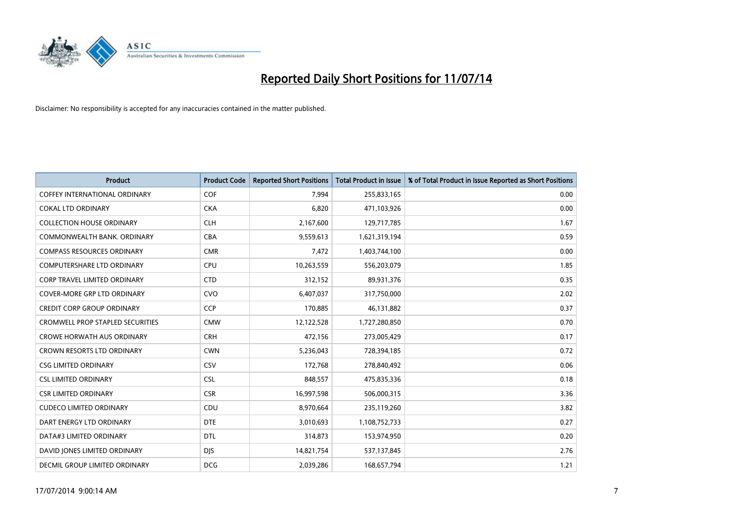

| <b>Product</b>                          | <b>Product Code</b> | <b>Reported Short Positions</b> | <b>Total Product in Issue</b> | % of Total Product in Issue Reported as Short Positions |
|-----------------------------------------|---------------------|---------------------------------|-------------------------------|---------------------------------------------------------|
| <b>COFFEY INTERNATIONAL ORDINARY</b>    | COF                 | 7,994                           | 255,833,165                   | 0.00                                                    |
| <b>COKAL LTD ORDINARY</b>               | <b>CKA</b>          | 6,820                           | 471,103,926                   | 0.00                                                    |
| <b>COLLECTION HOUSE ORDINARY</b>        | <b>CLH</b>          | 2,167,600                       | 129,717,785                   | 1.67                                                    |
| COMMONWEALTH BANK, ORDINARY             | <b>CBA</b>          | 9,559,613                       | 1,621,319,194                 | 0.59                                                    |
| <b>COMPASS RESOURCES ORDINARY</b>       | <b>CMR</b>          | 7,472                           | 1,403,744,100                 | 0.00                                                    |
| <b>COMPUTERSHARE LTD ORDINARY</b>       | <b>CPU</b>          | 10,263,559                      | 556,203,079                   | 1.85                                                    |
| <b>CORP TRAVEL LIMITED ORDINARY</b>     | <b>CTD</b>          | 312,152                         | 89,931,376                    | 0.35                                                    |
| <b>COVER-MORE GRP LTD ORDINARY</b>      | <b>CVO</b>          | 6,407,037                       | 317,750,000                   | 2.02                                                    |
| <b>CREDIT CORP GROUP ORDINARY</b>       | <b>CCP</b>          | 170,885                         | 46,131,882                    | 0.37                                                    |
| <b>CROMWELL PROP STAPLED SECURITIES</b> | <b>CMW</b>          | 12,122,528                      | 1,727,280,850                 | 0.70                                                    |
| <b>CROWE HORWATH AUS ORDINARY</b>       | <b>CRH</b>          | 472,156                         | 273,005,429                   | 0.17                                                    |
| <b>CROWN RESORTS LTD ORDINARY</b>       | <b>CWN</b>          | 5,236,043                       | 728,394,185                   | 0.72                                                    |
| <b>CSG LIMITED ORDINARY</b>             | CSV                 | 172,768                         | 278,840,492                   | 0.06                                                    |
| <b>CSL LIMITED ORDINARY</b>             | <b>CSL</b>          | 848,557                         | 475,835,336                   | 0.18                                                    |
| <b>CSR LIMITED ORDINARY</b>             | <b>CSR</b>          | 16,997,598                      | 506,000,315                   | 3.36                                                    |
| <b>CUDECO LIMITED ORDINARY</b>          | CDU                 | 8,970,664                       | 235,119,260                   | 3.82                                                    |
| DART ENERGY LTD ORDINARY                | <b>DTE</b>          | 3,010,693                       | 1,108,752,733                 | 0.27                                                    |
| DATA#3 LIMITED ORDINARY                 | <b>DTL</b>          | 314,873                         | 153,974,950                   | 0.20                                                    |
| DAVID JONES LIMITED ORDINARY            | <b>DJS</b>          | 14,821,754                      | 537,137,845                   | 2.76                                                    |
| DECMIL GROUP LIMITED ORDINARY           | <b>DCG</b>          | 2,039,286                       | 168,657,794                   | 1.21                                                    |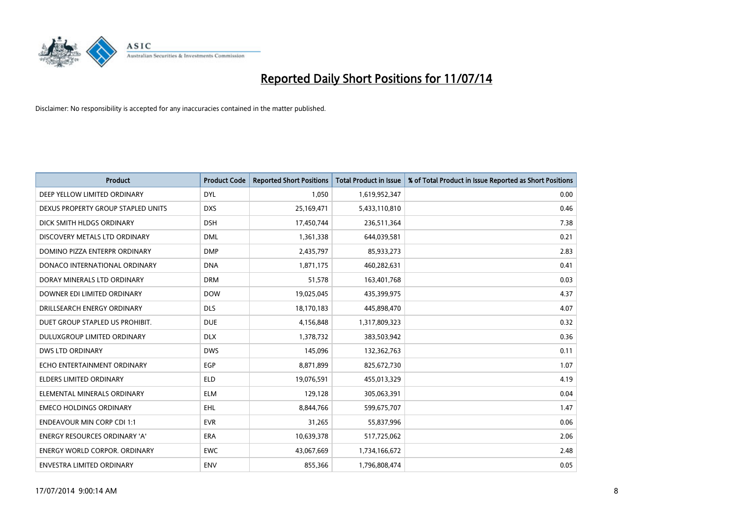

| <b>Product</b>                       | <b>Product Code</b> | <b>Reported Short Positions</b> | <b>Total Product in Issue</b> | % of Total Product in Issue Reported as Short Positions |
|--------------------------------------|---------------------|---------------------------------|-------------------------------|---------------------------------------------------------|
| DEEP YELLOW LIMITED ORDINARY         | <b>DYL</b>          | 1,050                           | 1,619,952,347                 | 0.00                                                    |
| DEXUS PROPERTY GROUP STAPLED UNITS   | <b>DXS</b>          | 25,169,471                      | 5,433,110,810                 | 0.46                                                    |
| DICK SMITH HLDGS ORDINARY            | <b>DSH</b>          | 17,450,744                      | 236,511,364                   | 7.38                                                    |
| DISCOVERY METALS LTD ORDINARY        | <b>DML</b>          | 1,361,338                       | 644,039,581                   | 0.21                                                    |
| DOMINO PIZZA ENTERPR ORDINARY        | <b>DMP</b>          | 2,435,797                       | 85,933,273                    | 2.83                                                    |
| DONACO INTERNATIONAL ORDINARY        | <b>DNA</b>          | 1,871,175                       | 460,282,631                   | 0.41                                                    |
| DORAY MINERALS LTD ORDINARY          | <b>DRM</b>          | 51,578                          | 163,401,768                   | 0.03                                                    |
| DOWNER EDI LIMITED ORDINARY          | <b>DOW</b>          | 19,025,045                      | 435,399,975                   | 4.37                                                    |
| DRILLSEARCH ENERGY ORDINARY          | <b>DLS</b>          | 18,170,183                      | 445,898,470                   | 4.07                                                    |
| DUET GROUP STAPLED US PROHIBIT.      | <b>DUE</b>          | 4,156,848                       | 1,317,809,323                 | 0.32                                                    |
| DULUXGROUP LIMITED ORDINARY          | <b>DLX</b>          | 1,378,732                       | 383,503,942                   | 0.36                                                    |
| <b>DWS LTD ORDINARY</b>              | <b>DWS</b>          | 145,096                         | 132,362,763                   | 0.11                                                    |
| ECHO ENTERTAINMENT ORDINARY          | <b>EGP</b>          | 8,871,899                       | 825,672,730                   | 1.07                                                    |
| <b>ELDERS LIMITED ORDINARY</b>       | <b>ELD</b>          | 19,076,591                      | 455,013,329                   | 4.19                                                    |
| ELEMENTAL MINERALS ORDINARY          | <b>ELM</b>          | 129,128                         | 305,063,391                   | 0.04                                                    |
| <b>EMECO HOLDINGS ORDINARY</b>       | <b>EHL</b>          | 8,844,766                       | 599,675,707                   | 1.47                                                    |
| <b>ENDEAVOUR MIN CORP CDI 1:1</b>    | <b>EVR</b>          | 31,265                          | 55,837,996                    | 0.06                                                    |
| ENERGY RESOURCES ORDINARY 'A'        | <b>ERA</b>          | 10,639,378                      | 517,725,062                   | 2.06                                                    |
| <b>ENERGY WORLD CORPOR, ORDINARY</b> | <b>EWC</b>          | 43,067,669                      | 1,734,166,672                 | 2.48                                                    |
| ENVESTRA LIMITED ORDINARY            | ENV                 | 855,366                         | 1,796,808,474                 | 0.05                                                    |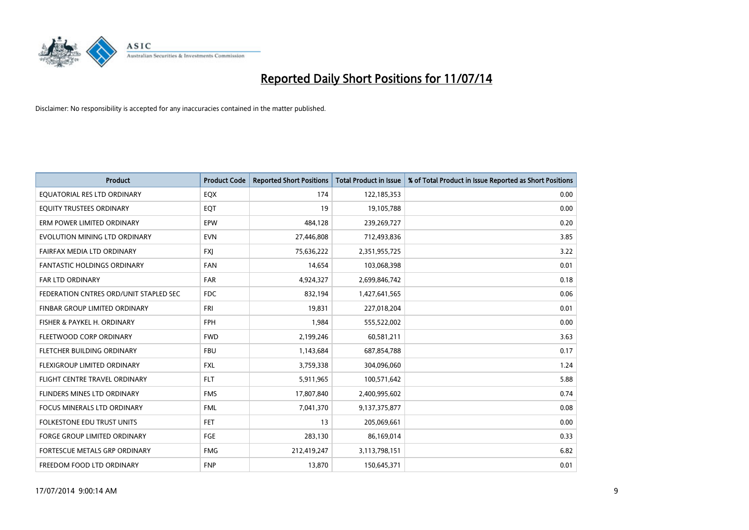

| <b>Product</b>                         | <b>Product Code</b> | <b>Reported Short Positions</b> | <b>Total Product in Issue</b> | % of Total Product in Issue Reported as Short Positions |
|----------------------------------------|---------------------|---------------------------------|-------------------------------|---------------------------------------------------------|
| EQUATORIAL RES LTD ORDINARY            | EQX                 | 174                             | 122,185,353                   | 0.00                                                    |
| EQUITY TRUSTEES ORDINARY               | EQT                 | 19                              | 19,105,788                    | 0.00                                                    |
| ERM POWER LIMITED ORDINARY             | EPW                 | 484,128                         | 239,269,727                   | 0.20                                                    |
| EVOLUTION MINING LTD ORDINARY          | <b>EVN</b>          | 27,446,808                      | 712,493,836                   | 3.85                                                    |
| FAIRFAX MEDIA LTD ORDINARY             | <b>FXI</b>          | 75,636,222                      | 2,351,955,725                 | 3.22                                                    |
| <b>FANTASTIC HOLDINGS ORDINARY</b>     | <b>FAN</b>          | 14,654                          | 103,068,398                   | 0.01                                                    |
| FAR LTD ORDINARY                       | <b>FAR</b>          | 4,924,327                       | 2,699,846,742                 | 0.18                                                    |
| FEDERATION CNTRES ORD/UNIT STAPLED SEC | <b>FDC</b>          | 832,194                         | 1,427,641,565                 | 0.06                                                    |
| FINBAR GROUP LIMITED ORDINARY          | <b>FRI</b>          | 19,831                          | 227,018,204                   | 0.01                                                    |
| FISHER & PAYKEL H. ORDINARY            | <b>FPH</b>          | 1,984                           | 555,522,002                   | 0.00                                                    |
| FLEETWOOD CORP ORDINARY                | <b>FWD</b>          | 2,199,246                       | 60,581,211                    | 3.63                                                    |
| FLETCHER BUILDING ORDINARY             | <b>FBU</b>          | 1,143,684                       | 687,854,788                   | 0.17                                                    |
| FLEXIGROUP LIMITED ORDINARY            | <b>FXL</b>          | 3,759,338                       | 304,096,060                   | 1.24                                                    |
| FLIGHT CENTRE TRAVEL ORDINARY          | <b>FLT</b>          | 5,911,965                       | 100,571,642                   | 5.88                                                    |
| FLINDERS MINES LTD ORDINARY            | <b>FMS</b>          | 17,807,840                      | 2,400,995,602                 | 0.74                                                    |
| <b>FOCUS MINERALS LTD ORDINARY</b>     | <b>FML</b>          | 7,041,370                       | 9,137,375,877                 | 0.08                                                    |
| <b>FOLKESTONE EDU TRUST UNITS</b>      | FET                 | 13                              | 205,069,661                   | 0.00                                                    |
| FORGE GROUP LIMITED ORDINARY           | FGE                 | 283,130                         | 86,169,014                    | 0.33                                                    |
| FORTESCUE METALS GRP ORDINARY          | <b>FMG</b>          | 212,419,247                     | 3,113,798,151                 | 6.82                                                    |
| FREEDOM FOOD LTD ORDINARY              | <b>FNP</b>          | 13,870                          | 150,645,371                   | 0.01                                                    |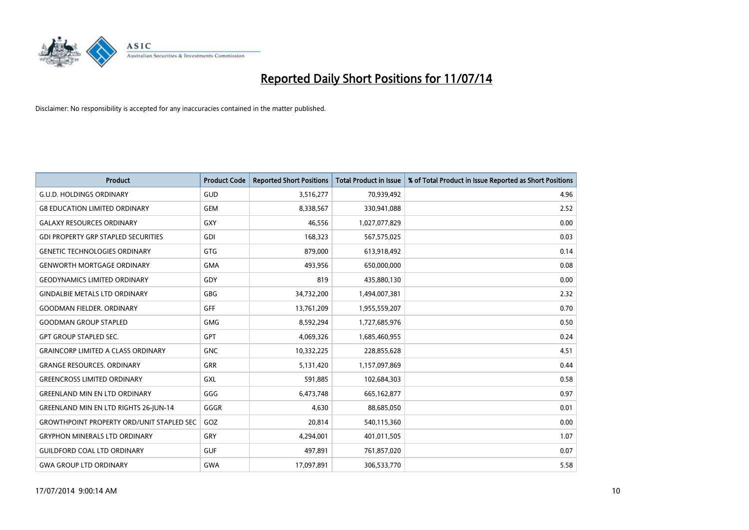

| <b>Product</b>                                   | <b>Product Code</b> | <b>Reported Short Positions</b> | <b>Total Product in Issue</b> | % of Total Product in Issue Reported as Short Positions |
|--------------------------------------------------|---------------------|---------------------------------|-------------------------------|---------------------------------------------------------|
| <b>G.U.D. HOLDINGS ORDINARY</b>                  | GUD                 | 3,516,277                       | 70,939,492                    | 4.96                                                    |
| <b>G8 EDUCATION LIMITED ORDINARY</b>             | <b>GEM</b>          | 8,338,567                       | 330,941,088                   | 2.52                                                    |
| <b>GALAXY RESOURCES ORDINARY</b>                 | GXY                 | 46,556                          | 1,027,077,829                 | 0.00                                                    |
| <b>GDI PROPERTY GRP STAPLED SECURITIES</b>       | GDI                 | 168,323                         | 567,575,025                   | 0.03                                                    |
| <b>GENETIC TECHNOLOGIES ORDINARY</b>             | <b>GTG</b>          | 879,000                         | 613,918,492                   | 0.14                                                    |
| <b>GENWORTH MORTGAGE ORDINARY</b>                | <b>GMA</b>          | 493,956                         | 650,000,000                   | 0.08                                                    |
| <b>GEODYNAMICS LIMITED ORDINARY</b>              | GDY                 | 819                             | 435,880,130                   | 0.00                                                    |
| <b>GINDALBIE METALS LTD ORDINARY</b>             | <b>GBG</b>          | 34,732,200                      | 1,494,007,381                 | 2.32                                                    |
| <b>GOODMAN FIELDER, ORDINARY</b>                 | GFF                 | 13,761,209                      | 1,955,559,207                 | 0.70                                                    |
| <b>GOODMAN GROUP STAPLED</b>                     | <b>GMG</b>          | 8,592,294                       | 1,727,685,976                 | 0.50                                                    |
| <b>GPT GROUP STAPLED SEC.</b>                    | GPT                 | 4,069,326                       | 1,685,460,955                 | 0.24                                                    |
| <b>GRAINCORP LIMITED A CLASS ORDINARY</b>        | <b>GNC</b>          | 10,332,225                      | 228,855,628                   | 4.51                                                    |
| <b>GRANGE RESOURCES, ORDINARY</b>                | <b>GRR</b>          | 5,131,420                       | 1,157,097,869                 | 0.44                                                    |
| <b>GREENCROSS LIMITED ORDINARY</b>               | <b>GXL</b>          | 591,885                         | 102,684,303                   | 0.58                                                    |
| <b>GREENLAND MIN EN LTD ORDINARY</b>             | GGG                 | 6,473,748                       | 665, 162, 877                 | 0.97                                                    |
| <b>GREENLAND MIN EN LTD RIGHTS 26-JUN-14</b>     | GGGR                | 4,630                           | 88,685,050                    | 0.01                                                    |
| <b>GROWTHPOINT PROPERTY ORD/UNIT STAPLED SEC</b> | GOZ                 | 20,814                          | 540,115,360                   | 0.00                                                    |
| <b>GRYPHON MINERALS LTD ORDINARY</b>             | GRY                 | 4,294,001                       | 401,011,505                   | 1.07                                                    |
| <b>GUILDFORD COAL LTD ORDINARY</b>               | <b>GUF</b>          | 497,891                         | 761,857,020                   | 0.07                                                    |
| <b>GWA GROUP LTD ORDINARY</b>                    | <b>GWA</b>          | 17,097,891                      | 306,533,770                   | 5.58                                                    |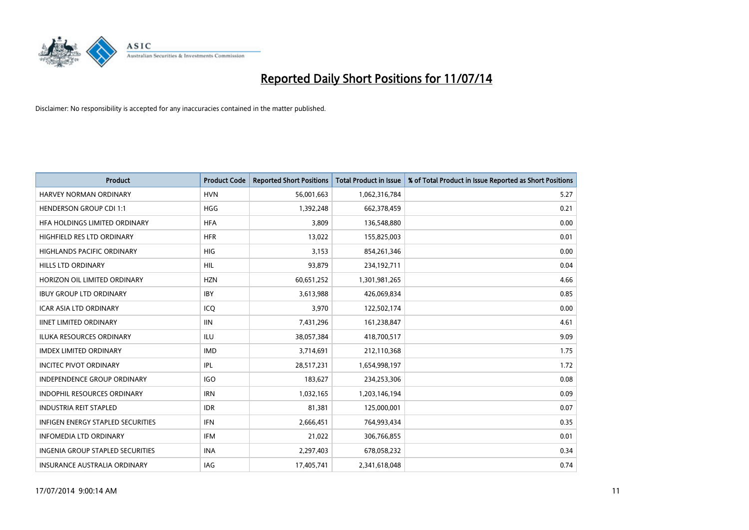

| Product                                  | <b>Product Code</b> | <b>Reported Short Positions</b> | <b>Total Product in Issue</b> | % of Total Product in Issue Reported as Short Positions |
|------------------------------------------|---------------------|---------------------------------|-------------------------------|---------------------------------------------------------|
| <b>HARVEY NORMAN ORDINARY</b>            | <b>HVN</b>          | 56,001,663                      | 1,062,316,784                 | 5.27                                                    |
| <b>HENDERSON GROUP CDI 1:1</b>           | <b>HGG</b>          | 1,392,248                       | 662,378,459                   | 0.21                                                    |
| HFA HOLDINGS LIMITED ORDINARY            | <b>HFA</b>          | 3,809                           | 136,548,880                   | 0.00                                                    |
| HIGHFIELD RES LTD ORDINARY               | <b>HFR</b>          | 13,022                          | 155,825,003                   | 0.01                                                    |
| <b>HIGHLANDS PACIFIC ORDINARY</b>        | <b>HIG</b>          | 3,153                           | 854,261,346                   | 0.00                                                    |
| <b>HILLS LTD ORDINARY</b>                | <b>HIL</b>          | 93,879                          | 234,192,711                   | 0.04                                                    |
| HORIZON OIL LIMITED ORDINARY             | <b>HZN</b>          | 60,651,252                      | 1,301,981,265                 | 4.66                                                    |
| <b>IBUY GROUP LTD ORDINARY</b>           | <b>IBY</b>          | 3,613,988                       | 426,069,834                   | 0.85                                                    |
| ICAR ASIA LTD ORDINARY                   | ICQ                 | 3,970                           | 122,502,174                   | 0.00                                                    |
| <b>IINET LIMITED ORDINARY</b>            | <b>IIN</b>          | 7,431,296                       | 161,238,847                   | 4.61                                                    |
| <b>ILUKA RESOURCES ORDINARY</b>          | <b>ILU</b>          | 38,057,384                      | 418,700,517                   | 9.09                                                    |
| <b>IMDEX LIMITED ORDINARY</b>            | <b>IMD</b>          | 3,714,691                       | 212,110,368                   | 1.75                                                    |
| <b>INCITEC PIVOT ORDINARY</b>            | <b>IPL</b>          | 28,517,231                      | 1,654,998,197                 | 1.72                                                    |
| <b>INDEPENDENCE GROUP ORDINARY</b>       | <b>IGO</b>          | 183,627                         | 234,253,306                   | 0.08                                                    |
| <b>INDOPHIL RESOURCES ORDINARY</b>       | <b>IRN</b>          | 1,032,165                       | 1,203,146,194                 | 0.09                                                    |
| <b>INDUSTRIA REIT STAPLED</b>            | <b>IDR</b>          | 81,381                          | 125,000,001                   | 0.07                                                    |
| <b>INFIGEN ENERGY STAPLED SECURITIES</b> | <b>IFN</b>          | 2,666,451                       | 764,993,434                   | 0.35                                                    |
| <b>INFOMEDIA LTD ORDINARY</b>            | IFM                 | 21,022                          | 306,766,855                   | 0.01                                                    |
| INGENIA GROUP STAPLED SECURITIES         | <b>INA</b>          | 2,297,403                       | 678,058,232                   | 0.34                                                    |
| INSURANCE AUSTRALIA ORDINARY             | IAG                 | 17,405,741                      | 2,341,618,048                 | 0.74                                                    |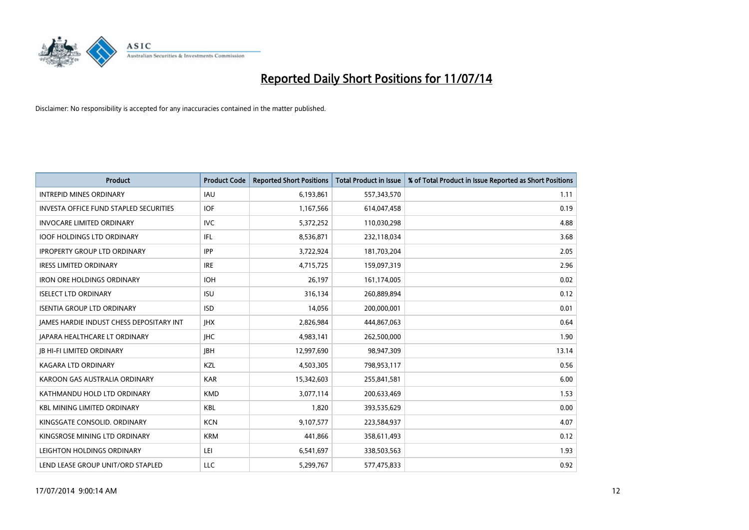

| <b>Product</b>                           | <b>Product Code</b> | <b>Reported Short Positions</b> | <b>Total Product in Issue</b> | % of Total Product in Issue Reported as Short Positions |
|------------------------------------------|---------------------|---------------------------------|-------------------------------|---------------------------------------------------------|
| <b>INTREPID MINES ORDINARY</b>           | <b>IAU</b>          | 6,193,861                       | 557,343,570                   | 1.11                                                    |
| INVESTA OFFICE FUND STAPLED SECURITIES   | <b>IOF</b>          | 1,167,566                       | 614,047,458                   | 0.19                                                    |
| <b>INVOCARE LIMITED ORDINARY</b>         | <b>IVC</b>          | 5,372,252                       | 110,030,298                   | 4.88                                                    |
| <b>IOOF HOLDINGS LTD ORDINARY</b>        | IFL                 | 8,536,871                       | 232,118,034                   | 3.68                                                    |
| <b>IPROPERTY GROUP LTD ORDINARY</b>      | <b>IPP</b>          | 3,722,924                       | 181,703,204                   | 2.05                                                    |
| <b>IRESS LIMITED ORDINARY</b>            | <b>IRE</b>          | 4,715,725                       | 159,097,319                   | 2.96                                                    |
| <b>IRON ORE HOLDINGS ORDINARY</b>        | <b>IOH</b>          | 26,197                          | 161,174,005                   | 0.02                                                    |
| <b>ISELECT LTD ORDINARY</b>              | <b>ISU</b>          | 316,134                         | 260,889,894                   | 0.12                                                    |
| <b>ISENTIA GROUP LTD ORDINARY</b>        | <b>ISD</b>          | 14,056                          | 200,000,001                   | 0.01                                                    |
| JAMES HARDIE INDUST CHESS DEPOSITARY INT | <b>IHX</b>          | 2,826,984                       | 444,867,063                   | 0.64                                                    |
| <b>JAPARA HEALTHCARE LT ORDINARY</b>     | <b>IHC</b>          | 4,983,141                       | 262,500,000                   | 1.90                                                    |
| <b>JB HI-FI LIMITED ORDINARY</b>         | <b>IBH</b>          | 12,997,690                      | 98,947,309                    | 13.14                                                   |
| <b>KAGARA LTD ORDINARY</b>               | KZL                 | 4,503,305                       | 798,953,117                   | 0.56                                                    |
| KAROON GAS AUSTRALIA ORDINARY            | <b>KAR</b>          | 15,342,603                      | 255,841,581                   | 6.00                                                    |
| KATHMANDU HOLD LTD ORDINARY              | <b>KMD</b>          | 3,077,114                       | 200,633,469                   | 1.53                                                    |
| <b>KBL MINING LIMITED ORDINARY</b>       | <b>KBL</b>          | 1,820                           | 393,535,629                   | 0.00                                                    |
| KINGSGATE CONSOLID. ORDINARY             | <b>KCN</b>          | 9,107,577                       | 223,584,937                   | 4.07                                                    |
| KINGSROSE MINING LTD ORDINARY            | <b>KRM</b>          | 441,866                         | 358,611,493                   | 0.12                                                    |
| LEIGHTON HOLDINGS ORDINARY               | LEI                 | 6,541,697                       | 338,503,563                   | 1.93                                                    |
| LEND LEASE GROUP UNIT/ORD STAPLED        | LLC                 | 5,299,767                       | 577,475,833                   | 0.92                                                    |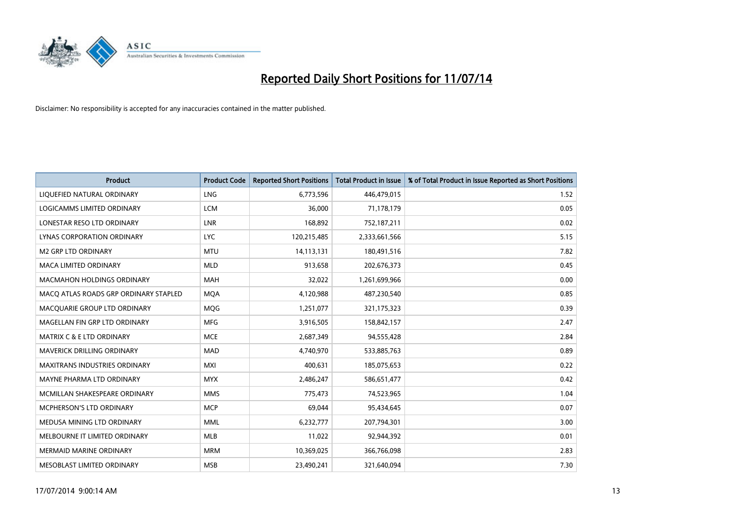

| <b>Product</b>                        | <b>Product Code</b> | <b>Reported Short Positions</b> | <b>Total Product in Issue</b> | % of Total Product in Issue Reported as Short Positions |
|---------------------------------------|---------------------|---------------------------------|-------------------------------|---------------------------------------------------------|
| LIQUEFIED NATURAL ORDINARY            | <b>LNG</b>          | 6,773,596                       | 446,479,015                   | 1.52                                                    |
| LOGICAMMS LIMITED ORDINARY            | <b>LCM</b>          | 36,000                          | 71,178,179                    | 0.05                                                    |
| LONESTAR RESO LTD ORDINARY            | <b>LNR</b>          | 168,892                         | 752,187,211                   | 0.02                                                    |
| LYNAS CORPORATION ORDINARY            | <b>LYC</b>          | 120,215,485                     | 2,333,661,566                 | 5.15                                                    |
| <b>M2 GRP LTD ORDINARY</b>            | <b>MTU</b>          | 14,113,131                      | 180,491,516                   | 7.82                                                    |
| <b>MACA LIMITED ORDINARY</b>          | <b>MLD</b>          | 913,658                         | 202,676,373                   | 0.45                                                    |
| MACMAHON HOLDINGS ORDINARY            | <b>MAH</b>          | 32,022                          | 1,261,699,966                 | 0.00                                                    |
| MACO ATLAS ROADS GRP ORDINARY STAPLED | <b>MQA</b>          | 4,120,988                       | 487,230,540                   | 0.85                                                    |
| MACQUARIE GROUP LTD ORDINARY          | <b>MQG</b>          | 1,251,077                       | 321,175,323                   | 0.39                                                    |
| MAGELLAN FIN GRP LTD ORDINARY         | <b>MFG</b>          | 3,916,505                       | 158,842,157                   | 2.47                                                    |
| <b>MATRIX C &amp; E LTD ORDINARY</b>  | <b>MCE</b>          | 2,687,349                       | 94,555,428                    | 2.84                                                    |
| MAVERICK DRILLING ORDINARY            | <b>MAD</b>          | 4,740,970                       | 533,885,763                   | 0.89                                                    |
| <b>MAXITRANS INDUSTRIES ORDINARY</b>  | <b>MXI</b>          | 400,631                         | 185,075,653                   | 0.22                                                    |
| MAYNE PHARMA LTD ORDINARY             | <b>MYX</b>          | 2,486,247                       | 586,651,477                   | 0.42                                                    |
| MCMILLAN SHAKESPEARE ORDINARY         | <b>MMS</b>          | 775,473                         | 74,523,965                    | 1.04                                                    |
| MCPHERSON'S LTD ORDINARY              | <b>MCP</b>          | 69,044                          | 95,434,645                    | 0.07                                                    |
| MEDUSA MINING LTD ORDINARY            | MML                 | 6,232,777                       | 207,794,301                   | 3.00                                                    |
| MELBOURNE IT LIMITED ORDINARY         | <b>MLB</b>          | 11,022                          | 92,944,392                    | 0.01                                                    |
| <b>MERMAID MARINE ORDINARY</b>        | <b>MRM</b>          | 10,369,025                      | 366,766,098                   | 2.83                                                    |
| MESOBLAST LIMITED ORDINARY            | <b>MSB</b>          | 23,490,241                      | 321,640,094                   | 7.30                                                    |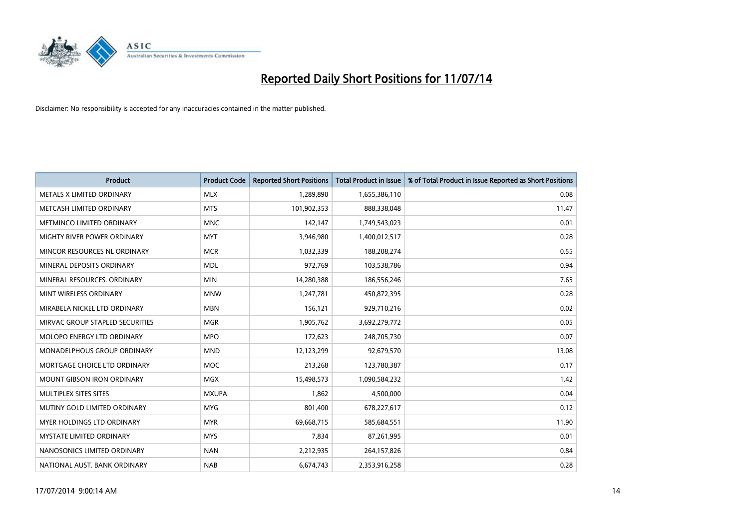

| <b>Product</b>                     | <b>Product Code</b> | <b>Reported Short Positions</b> | <b>Total Product in Issue</b> | % of Total Product in Issue Reported as Short Positions |
|------------------------------------|---------------------|---------------------------------|-------------------------------|---------------------------------------------------------|
| METALS X LIMITED ORDINARY          | <b>MLX</b>          | 1,289,890                       | 1,655,386,110                 | 0.08                                                    |
| METCASH LIMITED ORDINARY           | <b>MTS</b>          | 101,902,353                     | 888,338,048                   | 11.47                                                   |
| METMINCO LIMITED ORDINARY          | <b>MNC</b>          | 142,147                         | 1,749,543,023                 | 0.01                                                    |
| MIGHTY RIVER POWER ORDINARY        | <b>MYT</b>          | 3,946,980                       | 1,400,012,517                 | 0.28                                                    |
| MINCOR RESOURCES NL ORDINARY       | <b>MCR</b>          | 1,032,339                       | 188,208,274                   | 0.55                                                    |
| MINERAL DEPOSITS ORDINARY          | <b>MDL</b>          | 972,769                         | 103,538,786                   | 0.94                                                    |
| MINERAL RESOURCES, ORDINARY        | <b>MIN</b>          | 14,280,388                      | 186,556,246                   | 7.65                                                    |
| MINT WIRELESS ORDINARY             | <b>MNW</b>          | 1,247,781                       | 450,872,395                   | 0.28                                                    |
| MIRABELA NICKEL LTD ORDINARY       | <b>MBN</b>          | 156,121                         | 929,710,216                   | 0.02                                                    |
| MIRVAC GROUP STAPLED SECURITIES    | <b>MGR</b>          | 1,905,762                       | 3,692,279,772                 | 0.05                                                    |
| MOLOPO ENERGY LTD ORDINARY         | <b>MPO</b>          | 172,623                         | 248,705,730                   | 0.07                                                    |
| <b>MONADELPHOUS GROUP ORDINARY</b> | <b>MND</b>          | 12,123,299                      | 92,679,570                    | 13.08                                                   |
| MORTGAGE CHOICE LTD ORDINARY       | MOC                 | 213,268                         | 123,780,387                   | 0.17                                                    |
| <b>MOUNT GIBSON IRON ORDINARY</b>  | <b>MGX</b>          | 15,498,573                      | 1,090,584,232                 | 1.42                                                    |
| MULTIPLEX SITES SITES              | <b>MXUPA</b>        | 1,862                           | 4,500,000                     | 0.04                                                    |
| MUTINY GOLD LIMITED ORDINARY       | <b>MYG</b>          | 801,400                         | 678,227,617                   | 0.12                                                    |
| MYER HOLDINGS LTD ORDINARY         | <b>MYR</b>          | 69,668,715                      | 585,684,551                   | 11.90                                                   |
| MYSTATE LIMITED ORDINARY           | <b>MYS</b>          | 7,834                           | 87,261,995                    | 0.01                                                    |
| NANOSONICS LIMITED ORDINARY        | <b>NAN</b>          | 2,212,935                       | 264,157,826                   | 0.84                                                    |
| NATIONAL AUST. BANK ORDINARY       | <b>NAB</b>          | 6,674,743                       | 2,353,916,258                 | 0.28                                                    |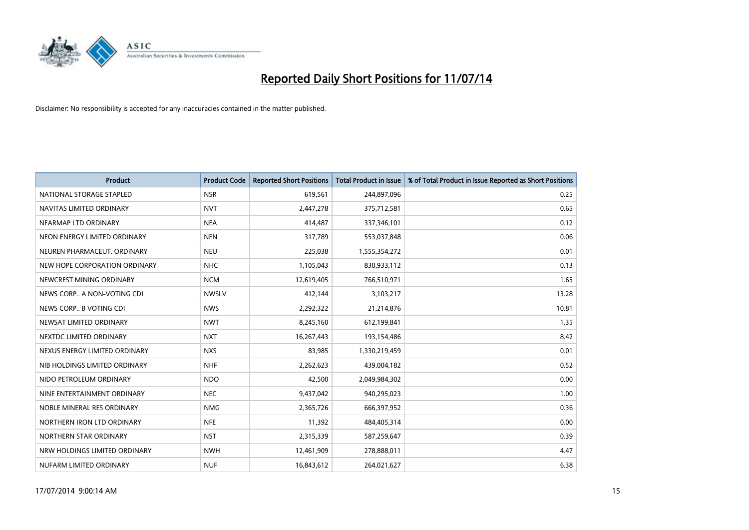

| <b>Product</b>                | <b>Product Code</b> | <b>Reported Short Positions</b> | <b>Total Product in Issue</b> | % of Total Product in Issue Reported as Short Positions |
|-------------------------------|---------------------|---------------------------------|-------------------------------|---------------------------------------------------------|
| NATIONAL STORAGE STAPLED      | <b>NSR</b>          | 619,561                         | 244,897,096                   | 0.25                                                    |
| NAVITAS LIMITED ORDINARY      | <b>NVT</b>          | 2,447,278                       | 375,712,581                   | 0.65                                                    |
| NEARMAP LTD ORDINARY          | <b>NEA</b>          | 414,487                         | 337,346,101                   | 0.12                                                    |
| NEON ENERGY LIMITED ORDINARY  | <b>NEN</b>          | 317,789                         | 553,037,848                   | 0.06                                                    |
| NEUREN PHARMACEUT, ORDINARY   | <b>NEU</b>          | 225,038                         | 1,555,354,272                 | 0.01                                                    |
| NEW HOPE CORPORATION ORDINARY | <b>NHC</b>          | 1,105,043                       | 830,933,112                   | 0.13                                                    |
| NEWCREST MINING ORDINARY      | <b>NCM</b>          | 12,619,405                      | 766,510,971                   | 1.65                                                    |
| NEWS CORP A NON-VOTING CDI    | <b>NWSLV</b>        | 412,144                         | 3,103,217                     | 13.28                                                   |
| NEWS CORP B VOTING CDI        | <b>NWS</b>          | 2,292,322                       | 21,214,876                    | 10.81                                                   |
| NEWSAT LIMITED ORDINARY       | <b>NWT</b>          | 8,245,160                       | 612,199,841                   | 1.35                                                    |
| NEXTDC LIMITED ORDINARY       | <b>NXT</b>          | 16,267,443                      | 193,154,486                   | 8.42                                                    |
| NEXUS ENERGY LIMITED ORDINARY | <b>NXS</b>          | 83,985                          | 1,330,219,459                 | 0.01                                                    |
| NIB HOLDINGS LIMITED ORDINARY | <b>NHF</b>          | 2,262,623                       | 439,004,182                   | 0.52                                                    |
| NIDO PETROLEUM ORDINARY       | <b>NDO</b>          | 42,500                          | 2,049,984,302                 | 0.00                                                    |
| NINE ENTERTAINMENT ORDINARY   | <b>NEC</b>          | 9,437,042                       | 940,295,023                   | 1.00                                                    |
| NOBLE MINERAL RES ORDINARY    | <b>NMG</b>          | 2,365,726                       | 666,397,952                   | 0.36                                                    |
| NORTHERN IRON LTD ORDINARY    | <b>NFE</b>          | 11,392                          | 484,405,314                   | 0.00                                                    |
| NORTHERN STAR ORDINARY        | <b>NST</b>          | 2,315,339                       | 587,259,647                   | 0.39                                                    |
| NRW HOLDINGS LIMITED ORDINARY | <b>NWH</b>          | 12,461,909                      | 278,888,011                   | 4.47                                                    |
| NUFARM LIMITED ORDINARY       | <b>NUF</b>          | 16,843,612                      | 264,021,627                   | 6.38                                                    |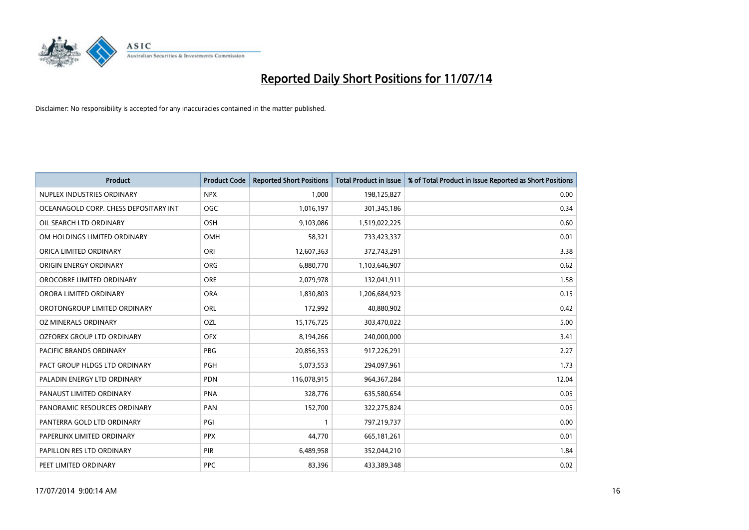

| <b>Product</b>                        | <b>Product Code</b> | <b>Reported Short Positions</b> | <b>Total Product in Issue</b> | % of Total Product in Issue Reported as Short Positions |
|---------------------------------------|---------------------|---------------------------------|-------------------------------|---------------------------------------------------------|
| NUPLEX INDUSTRIES ORDINARY            | <b>NPX</b>          | 1,000                           | 198,125,827                   | 0.00                                                    |
| OCEANAGOLD CORP. CHESS DEPOSITARY INT | <b>OGC</b>          | 1,016,197                       | 301,345,186                   | 0.34                                                    |
| OIL SEARCH LTD ORDINARY               | OSH                 | 9,103,086                       | 1,519,022,225                 | 0.60                                                    |
| OM HOLDINGS LIMITED ORDINARY          | <b>OMH</b>          | 58,321                          | 733,423,337                   | 0.01                                                    |
| ORICA LIMITED ORDINARY                | ORI                 | 12,607,363                      | 372,743,291                   | 3.38                                                    |
| ORIGIN ENERGY ORDINARY                | <b>ORG</b>          | 6,880,770                       | 1,103,646,907                 | 0.62                                                    |
| OROCOBRE LIMITED ORDINARY             | <b>ORE</b>          | 2,079,978                       | 132,041,911                   | 1.58                                                    |
| ORORA LIMITED ORDINARY                | <b>ORA</b>          | 1,830,803                       | 1,206,684,923                 | 0.15                                                    |
| OROTONGROUP LIMITED ORDINARY          | ORL                 | 172,992                         | 40,880,902                    | 0.42                                                    |
| <b>OZ MINERALS ORDINARY</b>           | <b>OZL</b>          | 15,176,725                      | 303,470,022                   | 5.00                                                    |
| OZFOREX GROUP LTD ORDINARY            | <b>OFX</b>          | 8,194,266                       | 240,000,000                   | 3.41                                                    |
| PACIFIC BRANDS ORDINARY               | <b>PBG</b>          | 20,856,353                      | 917,226,291                   | 2.27                                                    |
| PACT GROUP HLDGS LTD ORDINARY         | PGH                 | 5,073,553                       | 294,097,961                   | 1.73                                                    |
| PALADIN ENERGY LTD ORDINARY           | <b>PDN</b>          | 116,078,915                     | 964, 367, 284                 | 12.04                                                   |
| PANAUST LIMITED ORDINARY              | <b>PNA</b>          | 328,776                         | 635,580,654                   | 0.05                                                    |
| PANORAMIC RESOURCES ORDINARY          | PAN                 | 152,700                         | 322,275,824                   | 0.05                                                    |
| PANTERRA GOLD LTD ORDINARY            | PGI                 | $\mathbf{1}$                    | 797,219,737                   | 0.00                                                    |
| PAPERLINX LIMITED ORDINARY            | <b>PPX</b>          | 44,770                          | 665,181,261                   | 0.01                                                    |
| PAPILLON RES LTD ORDINARY             | PIR                 | 6,489,958                       | 352,044,210                   | 1.84                                                    |
| PEET LIMITED ORDINARY                 | <b>PPC</b>          | 83,396                          | 433,389,348                   | 0.02                                                    |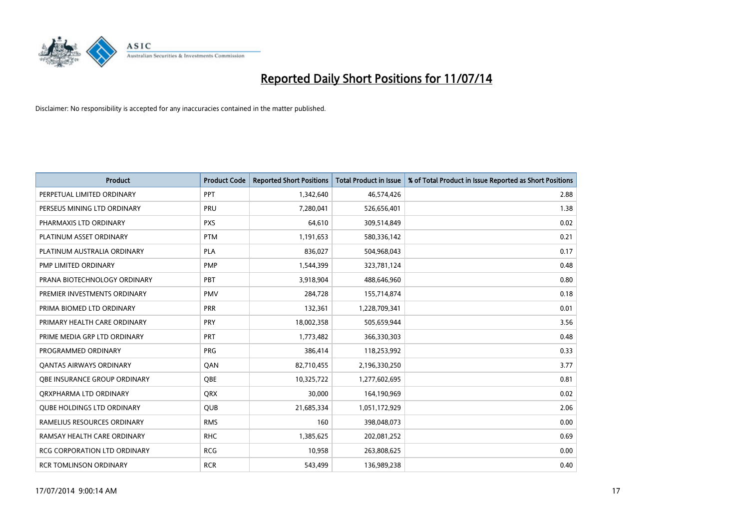

| <b>Product</b>                      | <b>Product Code</b> | <b>Reported Short Positions</b> | <b>Total Product in Issue</b> | % of Total Product in Issue Reported as Short Positions |
|-------------------------------------|---------------------|---------------------------------|-------------------------------|---------------------------------------------------------|
| PERPETUAL LIMITED ORDINARY          | PPT                 | 1,342,640                       | 46,574,426                    | 2.88                                                    |
| PERSEUS MINING LTD ORDINARY         | <b>PRU</b>          | 7,280,041                       | 526,656,401                   | 1.38                                                    |
| PHARMAXIS LTD ORDINARY              | <b>PXS</b>          | 64,610                          | 309,514,849                   | 0.02                                                    |
| PLATINUM ASSET ORDINARY             | <b>PTM</b>          | 1,191,653                       | 580,336,142                   | 0.21                                                    |
| PLATINUM AUSTRALIA ORDINARY         | <b>PLA</b>          | 836,027                         | 504,968,043                   | 0.17                                                    |
| PMP LIMITED ORDINARY                | <b>PMP</b>          | 1,544,399                       | 323,781,124                   | 0.48                                                    |
| PRANA BIOTECHNOLOGY ORDINARY        | PBT                 | 3,918,904                       | 488,646,960                   | 0.80                                                    |
| PREMIER INVESTMENTS ORDINARY        | <b>PMV</b>          | 284,728                         | 155,714,874                   | 0.18                                                    |
| PRIMA BIOMED LTD ORDINARY           | <b>PRR</b>          | 132,361                         | 1,228,709,341                 | 0.01                                                    |
| PRIMARY HEALTH CARE ORDINARY        | <b>PRY</b>          | 18,002,358                      | 505,659,944                   | 3.56                                                    |
| PRIME MEDIA GRP LTD ORDINARY        | <b>PRT</b>          | 1,773,482                       | 366,330,303                   | 0.48                                                    |
| PROGRAMMED ORDINARY                 | PRG                 | 386,414                         | 118,253,992                   | 0.33                                                    |
| <b>QANTAS AIRWAYS ORDINARY</b>      | QAN                 | 82,710,455                      | 2,196,330,250                 | 3.77                                                    |
| OBE INSURANCE GROUP ORDINARY        | <b>OBE</b>          | 10,325,722                      | 1,277,602,695                 | 0.81                                                    |
| ORXPHARMA LTD ORDINARY              | <b>QRX</b>          | 30,000                          | 164,190,969                   | 0.02                                                    |
| <b>QUBE HOLDINGS LTD ORDINARY</b>   | <b>QUB</b>          | 21,685,334                      | 1,051,172,929                 | 2.06                                                    |
| RAMELIUS RESOURCES ORDINARY         | <b>RMS</b>          | 160                             | 398,048,073                   | 0.00                                                    |
| RAMSAY HEALTH CARE ORDINARY         | <b>RHC</b>          | 1,385,625                       | 202,081,252                   | 0.69                                                    |
| <b>RCG CORPORATION LTD ORDINARY</b> | <b>RCG</b>          | 10,958                          | 263,808,625                   | 0.00                                                    |
| <b>RCR TOMLINSON ORDINARY</b>       | <b>RCR</b>          | 543,499                         | 136,989,238                   | 0.40                                                    |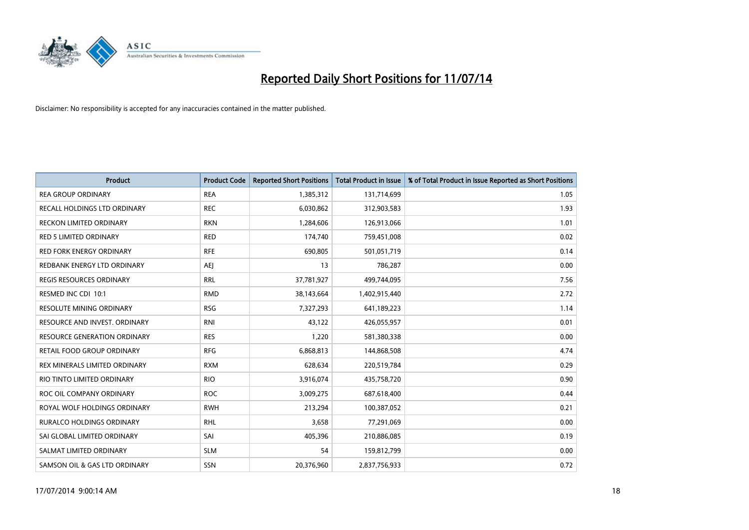

| <b>Product</b>                  | <b>Product Code</b> | <b>Reported Short Positions</b> | <b>Total Product in Issue</b> | % of Total Product in Issue Reported as Short Positions |
|---------------------------------|---------------------|---------------------------------|-------------------------------|---------------------------------------------------------|
| <b>REA GROUP ORDINARY</b>       | <b>REA</b>          | 1,385,312                       | 131,714,699                   | 1.05                                                    |
| RECALL HOLDINGS LTD ORDINARY    | <b>REC</b>          | 6,030,862                       | 312,903,583                   | 1.93                                                    |
| <b>RECKON LIMITED ORDINARY</b>  | <b>RKN</b>          | 1,284,606                       | 126,913,066                   | 1.01                                                    |
| <b>RED 5 LIMITED ORDINARY</b>   | <b>RED</b>          | 174,740                         | 759,451,008                   | 0.02                                                    |
| <b>RED FORK ENERGY ORDINARY</b> | <b>RFE</b>          | 690,805                         | 501,051,719                   | 0.14                                                    |
| REDBANK ENERGY LTD ORDINARY     | AEJ                 | 13                              | 786,287                       | 0.00                                                    |
| REGIS RESOURCES ORDINARY        | <b>RRL</b>          | 37,781,927                      | 499,744,095                   | 7.56                                                    |
| RESMED INC CDI 10:1             | <b>RMD</b>          | 38,143,664                      | 1,402,915,440                 | 2.72                                                    |
| <b>RESOLUTE MINING ORDINARY</b> | <b>RSG</b>          | 7,327,293                       | 641,189,223                   | 1.14                                                    |
| RESOURCE AND INVEST. ORDINARY   | <b>RNI</b>          | 43,122                          | 426,055,957                   | 0.01                                                    |
| RESOURCE GENERATION ORDINARY    | <b>RES</b>          | 1,220                           | 581,380,338                   | 0.00                                                    |
| RETAIL FOOD GROUP ORDINARY      | <b>RFG</b>          | 6,868,813                       | 144,868,508                   | 4.74                                                    |
| REX MINERALS LIMITED ORDINARY   | <b>RXM</b>          | 628,634                         | 220,519,784                   | 0.29                                                    |
| RIO TINTO LIMITED ORDINARY      | <b>RIO</b>          | 3,916,074                       | 435,758,720                   | 0.90                                                    |
| ROC OIL COMPANY ORDINARY        | <b>ROC</b>          | 3,009,275                       | 687,618,400                   | 0.44                                                    |
| ROYAL WOLF HOLDINGS ORDINARY    | <b>RWH</b>          | 213,294                         | 100,387,052                   | 0.21                                                    |
| RURALCO HOLDINGS ORDINARY       | <b>RHL</b>          | 3,658                           | 77,291,069                    | 0.00                                                    |
| SAI GLOBAL LIMITED ORDINARY     | SAI                 | 405,396                         | 210,886,085                   | 0.19                                                    |
| SALMAT LIMITED ORDINARY         | <b>SLM</b>          | 54                              | 159,812,799                   | 0.00                                                    |
| SAMSON OIL & GAS LTD ORDINARY   | <b>SSN</b>          | 20,376,960                      | 2,837,756,933                 | 0.72                                                    |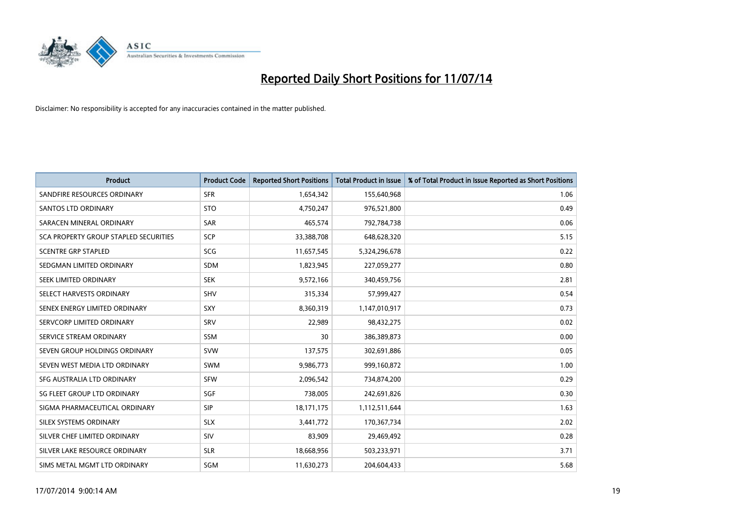

| <b>Product</b>                        | <b>Product Code</b> | <b>Reported Short Positions</b> | <b>Total Product in Issue</b> | % of Total Product in Issue Reported as Short Positions |
|---------------------------------------|---------------------|---------------------------------|-------------------------------|---------------------------------------------------------|
| SANDFIRE RESOURCES ORDINARY           | <b>SFR</b>          | 1,654,342                       | 155,640,968                   | 1.06                                                    |
| <b>SANTOS LTD ORDINARY</b>            | <b>STO</b>          | 4,750,247                       | 976,521,800                   | 0.49                                                    |
| SARACEN MINERAL ORDINARY              | <b>SAR</b>          | 465,574                         | 792,784,738                   | 0.06                                                    |
| SCA PROPERTY GROUP STAPLED SECURITIES | SCP                 | 33,388,708                      | 648,628,320                   | 5.15                                                    |
| <b>SCENTRE GRP STAPLED</b>            | <b>SCG</b>          | 11,657,545                      | 5,324,296,678                 | 0.22                                                    |
| SEDGMAN LIMITED ORDINARY              | <b>SDM</b>          | 1,823,945                       | 227,059,277                   | 0.80                                                    |
| SEEK LIMITED ORDINARY                 | <b>SEK</b>          | 9,572,166                       | 340,459,756                   | 2.81                                                    |
| SELECT HARVESTS ORDINARY              | <b>SHV</b>          | 315,334                         | 57,999,427                    | 0.54                                                    |
| SENEX ENERGY LIMITED ORDINARY         | <b>SXY</b>          | 8,360,319                       | 1,147,010,917                 | 0.73                                                    |
| SERVCORP LIMITED ORDINARY             | SRV                 | 22,989                          | 98,432,275                    | 0.02                                                    |
| SERVICE STREAM ORDINARY               | SSM                 | 30                              | 386,389,873                   | 0.00                                                    |
| SEVEN GROUP HOLDINGS ORDINARY         | <b>SVW</b>          | 137,575                         | 302,691,886                   | 0.05                                                    |
| SEVEN WEST MEDIA LTD ORDINARY         | SWM                 | 9,986,773                       | 999,160,872                   | 1.00                                                    |
| SFG AUSTRALIA LTD ORDINARY            | <b>SFW</b>          | 2,096,542                       | 734,874,200                   | 0.29                                                    |
| SG FLEET GROUP LTD ORDINARY           | SGF                 | 738,005                         | 242,691,826                   | 0.30                                                    |
| SIGMA PHARMACEUTICAL ORDINARY         | <b>SIP</b>          | 18,171,175                      | 1,112,511,644                 | 1.63                                                    |
| SILEX SYSTEMS ORDINARY                | <b>SLX</b>          | 3,441,772                       | 170,367,734                   | 2.02                                                    |
| SILVER CHEF LIMITED ORDINARY          | SIV                 | 83,909                          | 29,469,492                    | 0.28                                                    |
| SILVER LAKE RESOURCE ORDINARY         | <b>SLR</b>          | 18,668,956                      | 503,233,971                   | 3.71                                                    |
| SIMS METAL MGMT LTD ORDINARY          | SGM                 | 11,630,273                      | 204,604,433                   | 5.68                                                    |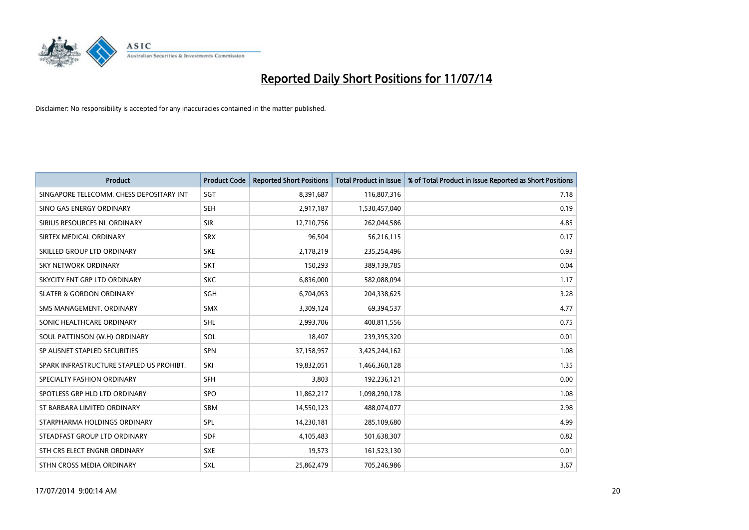

| <b>Product</b>                           | <b>Product Code</b> | <b>Reported Short Positions</b> | <b>Total Product in Issue</b> | % of Total Product in Issue Reported as Short Positions |
|------------------------------------------|---------------------|---------------------------------|-------------------------------|---------------------------------------------------------|
| SINGAPORE TELECOMM. CHESS DEPOSITARY INT | SGT                 | 8,391,687                       | 116,807,316                   | 7.18                                                    |
| SINO GAS ENERGY ORDINARY                 | <b>SEH</b>          | 2,917,187                       | 1,530,457,040                 | 0.19                                                    |
| SIRIUS RESOURCES NL ORDINARY             | <b>SIR</b>          | 12,710,756                      | 262,044,586                   | 4.85                                                    |
| SIRTEX MEDICAL ORDINARY                  | <b>SRX</b>          | 96,504                          | 56,216,115                    | 0.17                                                    |
| SKILLED GROUP LTD ORDINARY               | <b>SKE</b>          | 2,178,219                       | 235,254,496                   | 0.93                                                    |
| <b>SKY NETWORK ORDINARY</b>              | <b>SKT</b>          | 150,293                         | 389,139,785                   | 0.04                                                    |
| SKYCITY ENT GRP LTD ORDINARY             | <b>SKC</b>          | 6,836,000                       | 582,088,094                   | 1.17                                                    |
| <b>SLATER &amp; GORDON ORDINARY</b>      | SGH                 | 6,704,053                       | 204,338,625                   | 3.28                                                    |
| SMS MANAGEMENT, ORDINARY                 | <b>SMX</b>          | 3,309,124                       | 69,394,537                    | 4.77                                                    |
| SONIC HEALTHCARE ORDINARY                | SHL                 | 2,993,706                       | 400,811,556                   | 0.75                                                    |
| SOUL PATTINSON (W.H) ORDINARY            | SOL                 | 18,407                          | 239,395,320                   | 0.01                                                    |
| SP AUSNET STAPLED SECURITIES             | <b>SPN</b>          | 37,158,957                      | 3,425,244,162                 | 1.08                                                    |
| SPARK INFRASTRUCTURE STAPLED US PROHIBT. | SKI                 | 19,832,051                      | 1,466,360,128                 | 1.35                                                    |
| SPECIALTY FASHION ORDINARY               | <b>SFH</b>          | 3,803                           | 192,236,121                   | 0.00                                                    |
| SPOTLESS GRP HLD LTD ORDINARY            | <b>SPO</b>          | 11,862,217                      | 1,098,290,178                 | 1.08                                                    |
| ST BARBARA LIMITED ORDINARY              | SBM                 | 14,550,123                      | 488,074,077                   | 2.98                                                    |
| STARPHARMA HOLDINGS ORDINARY             | SPL                 | 14,230,181                      | 285,109,680                   | 4.99                                                    |
| STEADFAST GROUP LTD ORDINARY             | <b>SDF</b>          | 4,105,483                       | 501,638,307                   | 0.82                                                    |
| STH CRS ELECT ENGNR ORDINARY             | <b>SXE</b>          | 19,573                          | 161,523,130                   | 0.01                                                    |
| STHN CROSS MEDIA ORDINARY                | <b>SXL</b>          | 25,862,479                      | 705,246,986                   | 3.67                                                    |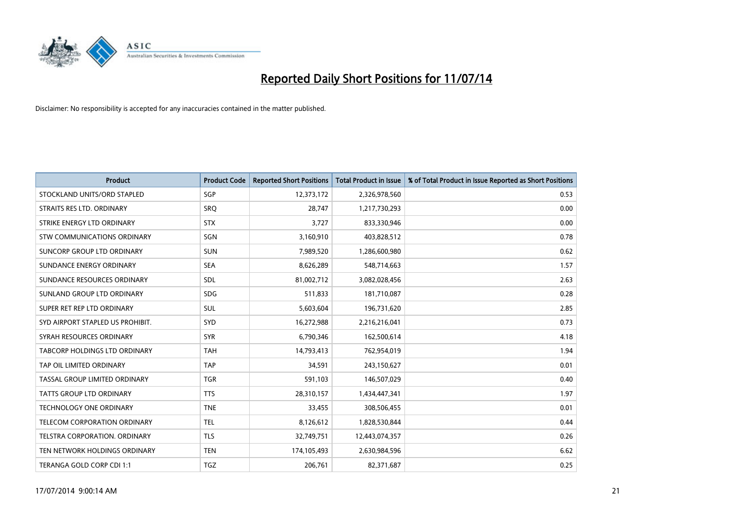

| <b>Product</b>                   | <b>Product Code</b> | <b>Reported Short Positions</b> | <b>Total Product in Issue</b> | % of Total Product in Issue Reported as Short Positions |
|----------------------------------|---------------------|---------------------------------|-------------------------------|---------------------------------------------------------|
| STOCKLAND UNITS/ORD STAPLED      | SGP                 | 12,373,172                      | 2,326,978,560                 | 0.53                                                    |
| STRAITS RES LTD. ORDINARY        | SRQ                 | 28.747                          | 1,217,730,293                 | 0.00                                                    |
| STRIKE ENERGY LTD ORDINARY       | <b>STX</b>          | 3,727                           | 833,330,946                   | 0.00                                                    |
| STW COMMUNICATIONS ORDINARY      | SGN                 | 3,160,910                       | 403,828,512                   | 0.78                                                    |
| SUNCORP GROUP LTD ORDINARY       | <b>SUN</b>          | 7,989,520                       | 1,286,600,980                 | 0.62                                                    |
| SUNDANCE ENERGY ORDINARY         | <b>SEA</b>          | 8,626,289                       | 548,714,663                   | 1.57                                                    |
| SUNDANCE RESOURCES ORDINARY      | <b>SDL</b>          | 81,002,712                      | 3,082,028,456                 | 2.63                                                    |
| SUNLAND GROUP LTD ORDINARY       | <b>SDG</b>          | 511,833                         | 181,710,087                   | 0.28                                                    |
| SUPER RET REP LTD ORDINARY       | <b>SUL</b>          | 5,603,604                       | 196,731,620                   | 2.85                                                    |
| SYD AIRPORT STAPLED US PROHIBIT. | SYD                 | 16,272,988                      | 2,216,216,041                 | 0.73                                                    |
| SYRAH RESOURCES ORDINARY         | <b>SYR</b>          | 6,790,346                       | 162,500,614                   | 4.18                                                    |
| TABCORP HOLDINGS LTD ORDINARY    | TAH                 | 14,793,413                      | 762,954,019                   | 1.94                                                    |
| TAP OIL LIMITED ORDINARY         | <b>TAP</b>          | 34,591                          | 243,150,627                   | 0.01                                                    |
| TASSAL GROUP LIMITED ORDINARY    | <b>TGR</b>          | 591,103                         | 146,507,029                   | 0.40                                                    |
| <b>TATTS GROUP LTD ORDINARY</b>  | <b>TTS</b>          | 28,310,157                      | 1,434,447,341                 | 1.97                                                    |
| <b>TECHNOLOGY ONE ORDINARY</b>   | <b>TNE</b>          | 33,455                          | 308,506,455                   | 0.01                                                    |
| TELECOM CORPORATION ORDINARY     | <b>TEL</b>          | 8,126,612                       | 1,828,530,844                 | 0.44                                                    |
| TELSTRA CORPORATION. ORDINARY    | <b>TLS</b>          | 32,749,751                      | 12,443,074,357                | 0.26                                                    |
| TEN NETWORK HOLDINGS ORDINARY    | <b>TEN</b>          | 174,105,493                     | 2,630,984,596                 | 6.62                                                    |
| TERANGA GOLD CORP CDI 1:1        | <b>TGZ</b>          | 206,761                         | 82,371,687                    | 0.25                                                    |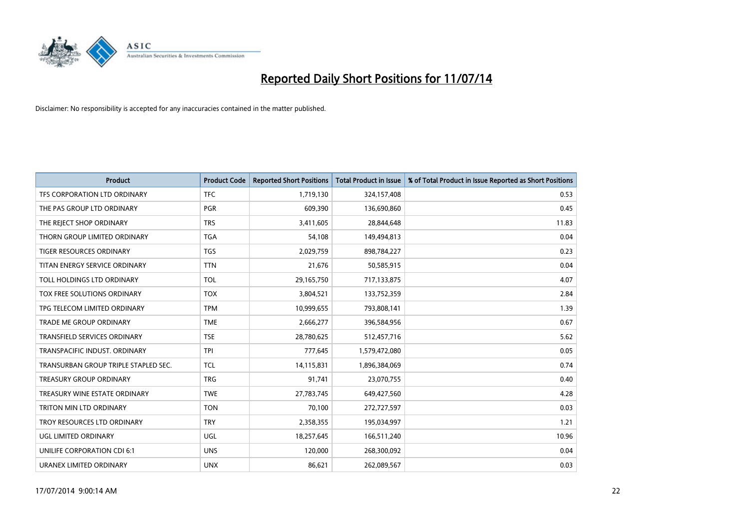

| <b>Product</b>                       | <b>Product Code</b> | <b>Reported Short Positions</b> | <b>Total Product in Issue</b> | % of Total Product in Issue Reported as Short Positions |
|--------------------------------------|---------------------|---------------------------------|-------------------------------|---------------------------------------------------------|
| TFS CORPORATION LTD ORDINARY         | <b>TFC</b>          | 1,719,130                       | 324,157,408                   | 0.53                                                    |
| THE PAS GROUP LTD ORDINARY           | <b>PGR</b>          | 609,390                         | 136,690,860                   | 0.45                                                    |
| THE REJECT SHOP ORDINARY             | <b>TRS</b>          | 3,411,605                       | 28,844,648                    | 11.83                                                   |
| THORN GROUP LIMITED ORDINARY         | <b>TGA</b>          | 54,108                          | 149,494,813                   | 0.04                                                    |
| <b>TIGER RESOURCES ORDINARY</b>      | TGS                 | 2,029,759                       | 898,784,227                   | 0.23                                                    |
| TITAN ENERGY SERVICE ORDINARY        | <b>TTN</b>          | 21,676                          | 50,585,915                    | 0.04                                                    |
| TOLL HOLDINGS LTD ORDINARY           | <b>TOL</b>          | 29,165,750                      | 717,133,875                   | 4.07                                                    |
| TOX FREE SOLUTIONS ORDINARY          | <b>TOX</b>          | 3,804,521                       | 133,752,359                   | 2.84                                                    |
| TPG TELECOM LIMITED ORDINARY         | <b>TPM</b>          | 10,999,655                      | 793,808,141                   | 1.39                                                    |
| <b>TRADE ME GROUP ORDINARY</b>       | <b>TME</b>          | 2,666,277                       | 396,584,956                   | 0.67                                                    |
| TRANSFIELD SERVICES ORDINARY         | <b>TSE</b>          | 28,780,625                      | 512,457,716                   | 5.62                                                    |
| TRANSPACIFIC INDUST, ORDINARY        | <b>TPI</b>          | 777,645                         | 1,579,472,080                 | 0.05                                                    |
| TRANSURBAN GROUP TRIPLE STAPLED SEC. | TCL                 | 14,115,831                      | 1,896,384,069                 | 0.74                                                    |
| <b>TREASURY GROUP ORDINARY</b>       | <b>TRG</b>          | 91,741                          | 23,070,755                    | 0.40                                                    |
| TREASURY WINE ESTATE ORDINARY        | <b>TWE</b>          | 27,783,745                      | 649,427,560                   | 4.28                                                    |
| TRITON MIN LTD ORDINARY              | <b>TON</b>          | 70,100                          | 272,727,597                   | 0.03                                                    |
| TROY RESOURCES LTD ORDINARY          | <b>TRY</b>          | 2,358,355                       | 195,034,997                   | 1.21                                                    |
| UGL LIMITED ORDINARY                 | <b>UGL</b>          | 18,257,645                      | 166,511,240                   | 10.96                                                   |
| UNILIFE CORPORATION CDI 6:1          | <b>UNS</b>          | 120,000                         | 268,300,092                   | 0.04                                                    |
| URANEX LIMITED ORDINARY              | <b>UNX</b>          | 86,621                          | 262,089,567                   | 0.03                                                    |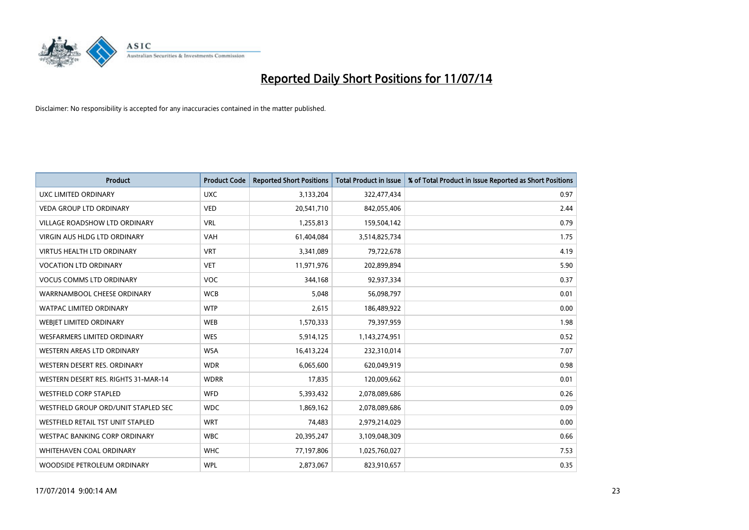

| <b>Product</b>                       | <b>Product Code</b> | <b>Reported Short Positions</b> | <b>Total Product in Issue</b> | % of Total Product in Issue Reported as Short Positions |
|--------------------------------------|---------------------|---------------------------------|-------------------------------|---------------------------------------------------------|
| <b>UXC LIMITED ORDINARY</b>          | <b>UXC</b>          | 3,133,204                       | 322,477,434                   | 0.97                                                    |
| <b>VEDA GROUP LTD ORDINARY</b>       | <b>VED</b>          | 20,541,710                      | 842,055,406                   | 2.44                                                    |
| <b>VILLAGE ROADSHOW LTD ORDINARY</b> | <b>VRL</b>          | 1,255,813                       | 159,504,142                   | 0.79                                                    |
| <b>VIRGIN AUS HLDG LTD ORDINARY</b>  | <b>VAH</b>          | 61,404,084                      | 3,514,825,734                 | 1.75                                                    |
| <b>VIRTUS HEALTH LTD ORDINARY</b>    | <b>VRT</b>          | 3,341,089                       | 79,722,678                    | 4.19                                                    |
| <b>VOCATION LTD ORDINARY</b>         | <b>VET</b>          | 11,971,976                      | 202,899,894                   | 5.90                                                    |
| <b>VOCUS COMMS LTD ORDINARY</b>      | <b>VOC</b>          | 344,168                         | 92,937,334                    | 0.37                                                    |
| WARRNAMBOOL CHEESE ORDINARY          | <b>WCB</b>          | 5,048                           | 56,098,797                    | 0.01                                                    |
| <b>WATPAC LIMITED ORDINARY</b>       | <b>WTP</b>          | 2,615                           | 186,489,922                   | 0.00                                                    |
| WEBJET LIMITED ORDINARY              | <b>WEB</b>          | 1,570,333                       | 79,397,959                    | 1.98                                                    |
| WESFARMERS LIMITED ORDINARY          | <b>WES</b>          | 5,914,125                       | 1,143,274,951                 | 0.52                                                    |
| WESTERN AREAS LTD ORDINARY           | <b>WSA</b>          | 16,413,224                      | 232,310,014                   | 7.07                                                    |
| WESTERN DESERT RES. ORDINARY         | <b>WDR</b>          | 6,065,600                       | 620,049,919                   | 0.98                                                    |
| WESTERN DESERT RES. RIGHTS 31-MAR-14 | <b>WDRR</b>         | 17,835                          | 120,009,662                   | 0.01                                                    |
| <b>WESTFIELD CORP STAPLED</b>        | <b>WFD</b>          | 5,393,432                       | 2,078,089,686                 | 0.26                                                    |
| WESTFIELD GROUP ORD/UNIT STAPLED SEC | <b>WDC</b>          | 1,869,162                       | 2,078,089,686                 | 0.09                                                    |
| WESTFIELD RETAIL TST UNIT STAPLED    | <b>WRT</b>          | 74,483                          | 2,979,214,029                 | 0.00                                                    |
| <b>WESTPAC BANKING CORP ORDINARY</b> | <b>WBC</b>          | 20,395,247                      | 3,109,048,309                 | 0.66                                                    |
| WHITEHAVEN COAL ORDINARY             | <b>WHC</b>          | 77,197,806                      | 1,025,760,027                 | 7.53                                                    |
| WOODSIDE PETROLEUM ORDINARY          | <b>WPL</b>          | 2,873,067                       | 823,910,657                   | 0.35                                                    |